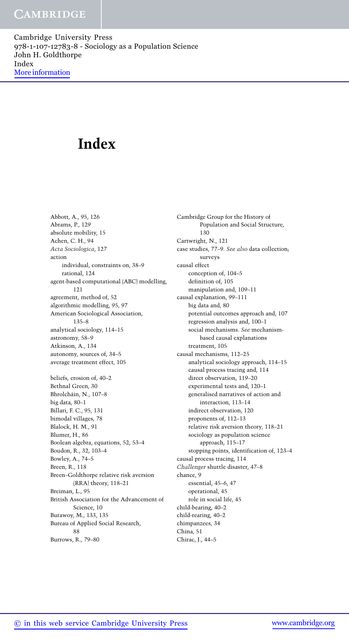## **Index**

Abbott, A., 95, 126 Abrams, P., 129 absolute mobility, 15 Achen, C. H., 94 *Acta Sociologica*, 127 action individual, constraints on, 38–9 rational, 124 agent-based computational (ABC) modelling, 121 agreement, method of, 52 algorithmic modelling, 95, 97 American Sociological Association, 135–8 analytical sociology, 114–15 astronomy, 58–9 Atkinson, A., 134 autonomy, sources of, 34–5 average treatment effect, 105 beliefs, erosion of, 40–2 Bethnal Green, 30 Bhrolchain, N., 107–8 ´ big data, 80–1 Billari, F. C., 95, 131 bimodal villages, 78 Blalock, H. M., 91 Blumer, H., 86 Boolean algebra, equations, 52, 53–4 Boudon, R., 32, 103–4 Bowley, A., 74–5 Breen, R., 118 Breen–Goldthorpe relative risk aversion (RRA) theory, 118–21 Breiman, L., 95 British Association for the Advancement of Science, 10 Burawoy, M., 133, 135 Bureau of Applied Social Research, 88 Burrows, R., 79–80

Cambridge Group for the History of Population and Social Structure, 130 Cartwright, N., 121 case studies, 77–9*. See also* data collection; surveys causal effect conception of, 104–5 definition of, 105 manipulation and, 109–11 causal explanation, 99–111 big data and, 80 potential outcomes approach and, 107 regression analysis and, 100–1 social mechanisms. *See* mechanismbased causal explanations treatment, 105 causal mechanisms, 112–25 analytical sociology approach, 114–15 causal process tracing and, 114 direct observation, 119–20 experimental tests and, 120–1 generalised narratives of action and interaction, 113–14 indirect observation, 120 proponents of, 112–13 relative risk aversion theory, 118–21 sociology as population science approach, 115–17 stopping points, identification of, 123–4 causal process tracing, 114 *Challenger* shuttle disaster, 47–8 chance, 9 essential, 45–6, 47 operational, 45 role in social life, 45 child-bearing, 40–2 child-rearing, 40–2 chimpanzees, 34 China, 51 Chirac, J., 44–5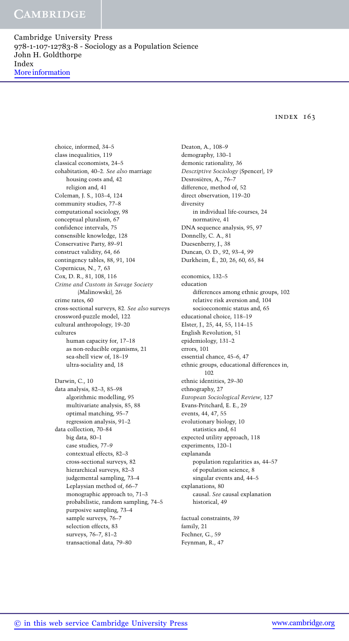index 163

choice, informed, 34–5 class inequalities, 119 classical economists, 24–5 cohabitation, 40–2*. See also* marriage housing costs and, 42 religion and, 41 Coleman, J. S., 103–4, 124 community studies, 77–8 computational sociology, 98 conceptual pluralism, 67 confidence intervals, 75 consensible knowledge, 128 Conservative Party, 89–91 construct validity, 64, 66 contingency tables, 88, 91, 104 Copernicus, N., 7, 63 Cox, D. R., 81, 108, 116 *Crime and Custom in Savage Society* (Malinowski), 26 crime rates, 60 cross-sectional surveys, 82*. See also* surveys crossword-puzzle model, 122 cultural anthropology, 19–20 cultures human capacity for, 17–18 as non-reducible organisms, 21 sea-shell view of, 18–19 ultra-sociality and, 18 Darwin, C., 10 data analysis, 82–3, 85–98 algorithmic modelling, 95 multivariate analysis, 85, 88 optimal matching, 95–7 regression analysis, 91–2 data collection, 70–84 big data, 80–1 case studies, 77–9 contextual effects, 82–3 cross-sectional surveys, 82 hierarchical surveys, 82–3 judgemental sampling, 73–4 Leplaysian method of, 66–7 monographic approach to, 71–3 probabilistic, random sampling, 74–5 purposive sampling, 73–4 sample surveys, 76–7 selection effects, 83 surveys, 76–7, 81–2 transactional data, 79–80

Deaton, A., 108–9 demography, 130–1 demonic rationality, 36 *Descriptive Sociology* (Spencer), 19 Desrosières, A., 76-7 difference, method of, 52 direct observation, 119–20 diversity in individual life-courses, 24 normative, 41 DNA sequence analysis, 95, 97 Donnelly, C. A., 81 Duesenberry, J., 38 Duncan, O. D., 92, 93–4, 99 Durkheim, E., 20, 26, 60, 65, 84 ´ economics, 132–5 education differences among ethnic groups, 102 relative risk aversion and, 104 socioeconomic status and, 65 educational choice, 118–19 Elster, J., 25, 44, 55, 114–15 English Revolution, 51 epidemiology, 131–2 errors, 101 essential chance, 45–6, 47 ethnic groups, educational differences in, 102 ethnic identities, 29–30 ethnography, 27 *European Sociological Review*, 127 Evans-Pritchard, E. E., 29 events, 44, 47, 55 evolutionary biology, 10 statistics and, 61 expected utility approach, 118 experiments, 120–1 explananda population regularities as, 44–57 of population science, 8 singular events and, 44–5 explanations, 80 causal. *See* causal explanation historical, 49 factual constraints, 39 family, 21 Fechner, G., 59

Feynman, R., 47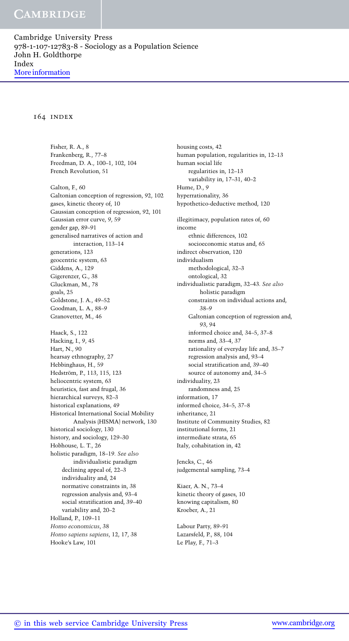## 164 index

Fisher, R. A., 8 Frankenberg, R., 77–8 Freedman, D. A., 100–1, 102, 104 French Revolution, 51 Galton, F., 60 Galtonian conception of regression, 92, 102 gases, kinetic theory of, 10 Gaussian conception of regression, 92, 101 Gaussian error curve, 9, 59 gender gap, 89–91 generalised narratives of action and interaction, 113–14 generations, 123 geocentric system, 63 Giddens, A., 129 Gigerenzer, G., 38 Gluckman, M., 78 goals, 25 Goldstone, J. A., 49–52 Goodman, L. A., 88–9 Granovetter, M., 46 Haack, S., 122 Hacking, I., 9, 45 Hart, N., 90 hearsay ethnography, 27 Hebbinghaus, H., 59 Hedström, P., 113, 115, 123 heliocentric system, 63 heuristics, fast and frugal, 36 hierarchical surveys, 82–3 historical explanations, 49 Historical International Social Mobility Analysis (HISMA) network, 130 historical sociology, 130 history, and sociology, 129–30 Hobhouse, L. T., 26 holistic paradigm, 18–19*. See also* individualistic paradigm declining appeal of, 22–3 individuality and, 24 normative constraints in, 38 regression analysis and, 93–4 social stratification and, 39–40 variability and, 20–2 Holland, P., 109–11 *Homo economicus*, 38 *Homo sapiens sapiens*, 12, 17, 38 Hooke's Law, 101

housing costs, 42 human population, regularities in, 12–13 human social life regularities in, 12–13 variability in, 17–31, 40–2 Hume, D., 9 hyperrationality, 36 hypothetico-deductive method, 120 illegitimacy, population rates of, 60 income ethnic differences, 102 socioeconomic status and, 65 indirect observation, 120 individualism methodological, 32–3 ontological, 32 individualistic paradigm, 32–43*. See also* holistic paradigm constraints on individual actions and, 38–9 Galtonian conception of regression and, 93, 94 informed choice and, 34–5, 37–8 norms and, 33–4, 37 rationality of everyday life and, 35–7 regression analysis and, 93–4 social stratification and, 39–40 source of autonomy and, 34–5 individuality, 23 randomness and, 25 information, 17 informed choice, 34–5, 37–8 inheritance, 21 Institute of Community Studies, 82 institutional forms, 21 intermediate strata, 65 Italy, cohabitation in, 42

Jencks, C., 46 judgemental sampling, 73–4

Kiaer, A. N., 73–4 kinetic theory of gases, 10 knowing capitalism, 80 Kroeber, A., 21

Labour Party, 89–91 Lazarsfeld, P., 88, 104 Le Play, F., 71–3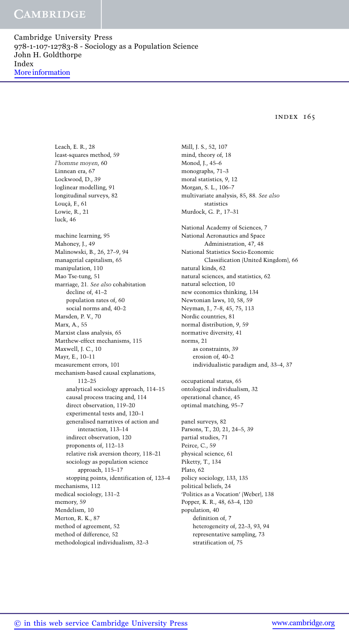index 165

Leach, E. R., 28 least-squares method, 59 *l'homme moyen*, 60 Linnean era, 67 Lockwood, D., 39 loglinear modelling, 91 longitudinal surveys, 82 Loucã, F., 61 Lowie, R., 21 luck, 46 machine learning, 95 Mahoney, J., 49 Malinowski, B., 26, 27–9, 94 managerial capitalism, 65 manipulation, 110 Mao Tse-tung, 51 marriage, 21*. See also* cohabitation decline of, 41–2 population rates of, 60 social norms and, 40–2 Marsden, P. V., 70 Marx, A., 55 Marxist class analysis, 65 Matthew-effect mechanisms, 115 Maxwell, J. C., 10 Mayr, E., 10–11 measurement errors, 101 mechanism-based causal explanations, 112–25 analytical sociology approach, 114–15 causal process tracing and, 114 direct observation, 119–20 experimental tests and, 120–1 generalised narratives of action and interaction, 113–14 indirect observation, 120 proponents of, 112–13 relative risk aversion theory, 118–21 sociology as population science approach, 115–17 stopping points, identification of, 123–4 mechanisms, 112 medical sociology, 131–2 memory, 59 Mendelism, 10 Merton, R. K., 87 method of agreement, 52 method of difference, 52 methodological individualism, 32–3

Mill, J. S., 52, 107 mind, theory of, 18 Monod, J., 45–6 monographs, 71–3 moral statistics, 9, 12 Morgan, S. L., 106–7 multivariate analysis, 85, 88*. See also* statistics Murdock, G. P., 17–31 National Academy of Sciences, 7 National Aeronautics and Space Administration, 47, 48 National Statistics Socio-Economic Classification (United Kingdom), 66 natural kinds, 62 natural sciences, and statistics, 62 natural selection, 10 new economics thinking, 134 Newtonian laws, 10, 58, 59 Neyman, J., 7–8, 45, 75, 113 Nordic countries, 81 normal distribution, 9, 59 normative diversity, 41 norms, 21 as constraints, 39 erosion of, 40–2 individualistic paradigm and, 33–4, 37 occupational status, 65 ontological individualism, 32 operational chance, 45 optimal matching, 95–7 panel surveys, 82 Parsons, T., 20, 21, 24–5, 39 partial studies, 71 Peirce, C., 59 physical science, 61 Piketty, T., 134 Plato, 62 policy sociology, 133, 135 political beliefs, 24 'Politics as a Vocation' (Weber), 138 Popper, K. R., 48, 63–4, 120 population, 40 definition of, 7 heterogeneity of, 22–3, 93, 94 representative sampling, 73 stratification of, 75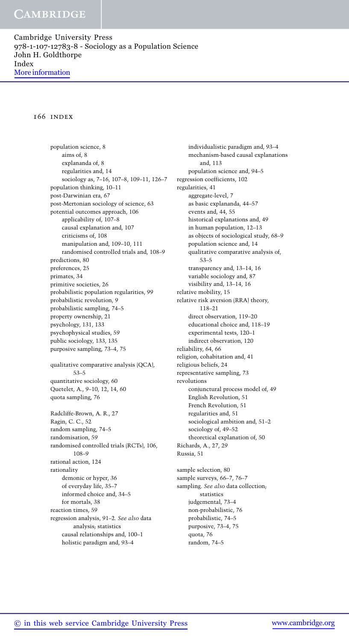## 166 index

population science, 8 aims of, 8 explananda of, 8 regularities and, 14 sociology as, 7–16, 107–8, 109–11, 126–7 population thinking, 10–11 post-Darwinian era, 67 post-Mertonian sociology of science, 63 potential outcomes approach, 106 applicability of, 107–8 causal explanation and, 107 criticisms of, 108 manipulation and, 109–10, 111 randomised controlled trials and, 108–9 predictions, 80 preferences, 25 primates, 34 primitive societies, 26 probabilistic population regularities, 99 probabilistic revolution, 9 probabilistic sampling, 74–5 property ownership, 21 psychology, 131, 133 psychophysical studies, 59 public sociology, 133, 135 purposive sampling, 73–4, 75 qualitative comparative analysis (QCA), 53–5 quantitative sociology, 60 Quetelet, A., 9–10, 12, 14, 60 quota sampling, 76 Radcliffe-Brown, A. R., 27 Ragin, C. C., 52 random sampling, 74–5 randomisation, 59 randomised controlled trials (RCTs), 106, 108–9 rational action, 124 rationality demonic or hyper, 36 of everyday life, 35–7 informed choice and, 34–5 for mortals, 38 reaction times, 59 regression analysis, 91–2*. See also* data analysis; statistics causal relationships and, 100–1 holistic paradigm and, 93–4

individualistic paradigm and, 93–4 mechanism-based causal explanations and, 113 population science and, 94–5 regression coefficients, 102 regularities, 41 aggregate-level, 7 as basic explananda, 44–57 events and, 44, 55 historical explanations and, 49 in human population, 12–13 as objects of sociological study, 68–9 population science and, 14 qualitative comparative analysis of, 53–5 transparency and, 13–14, 16 variable sociology and, 87 visibility and, 13–14, 16 relative mobility, 15 relative risk aversion (RRA) theory, 118–21 direct observation, 119–20 educational choice and, 118–19 experimental tests, 120–1 indirect observation, 120 reliability, 64, 66 religion, cohabitation and, 41 religious beliefs, 24 representative sampling, 73 revolutions conjunctural process model of, 49 English Revolution, 51 French Revolution, 51 regularities and, 51 sociological ambition and, 51–2 sociology of, 49–52 theoretical explanation of, 50 Richards, A., 27, 29 Russia, 51 sample selection, 80 sample surveys, 66–7, 76–7 sampling. *See also* data collection; statistics judgemental, 73–4 non-probabilistic, 76 probabilistic, 74–5 purposive, 73–4, 75

> quota, 76 random, 74–5

© in this web service Cambridge University Press www.cambridge.org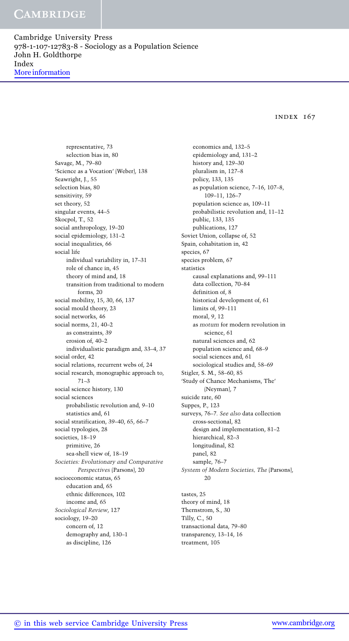**CAMBRIDGE** 

Cambridge University Press 978-1-107-12783-8 - Sociology as a Population Science John H. Goldthorpe Index More information

index 167

representative, 73 selection bias in, 80 Savage, M., 79–80 'Science as a Vocation' (Weber), 138 Seawright, J., 55 selection bias, 80 sensitivity, 59 set theory, 52 singular events, 44–5 Skocpol, T., 52 social anthropology, 19–20 social epidemiology, 131–2 social inequalities, 66 social life individual variability in, 17–31 role of chance in, 45 theory of mind and, 18 transition from traditional to modern forms, 20 social mobility, 15, 30, 66, 137 social mould theory, 23 social networks, 46 social norms, 21, 40–2 as constraints, 39 erosion of, 40–2 individualistic paradigm and, 33–4, 37 social order, 42 social relations, recurrent webs of, 24 social research, monographic approach to, 71–3 social science history, 130 social sciences probabilistic revolution and, 9–10 statistics and, 61 social stratification, 39–40, 65, 66–7 social typologies, 28 societies, 18–19 primitive, 26 sea-shell view of, 18–19 *Societies: Evolutionary and Comparative Perspectives* (Parsons), 20 socioeconomic status, 65 education and, 65 ethnic differences, 102 income and, 65 *Sociological Review*, 127 sociology, 19–20 concern of, 12 demography and, 130–1 as discipline, 126

economics and, 132–5 epidemiology and, 131–2 history and, 129–30 pluralism in, 127–8 policy, 133, 135 as population science, 7–16, 107–8, 109–11, 126–7 population science as, 109–11 probabilistic revolution and, 11–12 public, 133, 135 publications, 127 Soviet Union, collapse of, 52 Spain, cohabitation in, 42 species, 67 species problem, 67 statistics causal explanations and, 99–111 data collection, 70–84 definition of, 8 historical development of, 61 limits of, 99–111 moral, 9, 12 as *motum* for modern revolution in science, 61 natural sciences and, 62 population science and, 68–9 social sciences and, 61 sociological studies and, 58–69 Stigler, S. M., 58–60, 85 'Study of Chance Mechanisms, The' (Neyman), 7 suicide rate, 60 Suppes, P., 123 surveys, 76–7*. See also* data collection cross-sectional, 82 design and implementation, 81–2 hierarchical, 82–3 longitudinal, 82 panel, 82 sample, 76–7 *System of Modern Societies, The* (Parsons), 20 tastes, 25 theory of mind, 18 Thernstrom, S., 30 Tilly, C., 50 transactional data, 79–80 transparency, 13–14, 16

treatment, 105